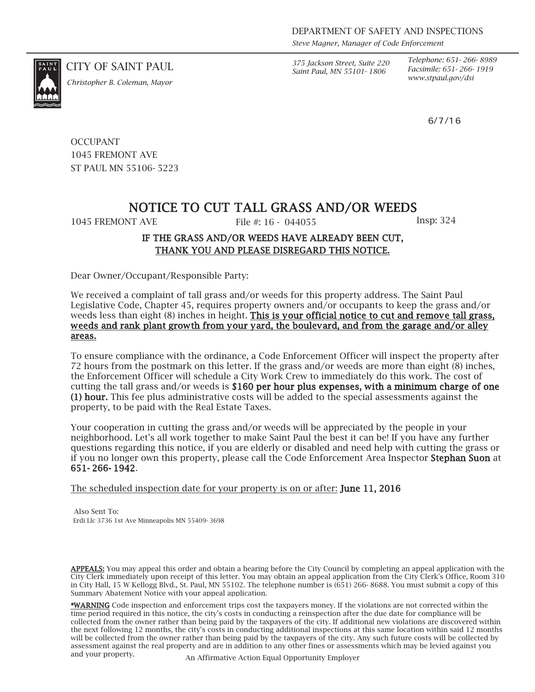*Steve Magner, Manager of Code Enforcement*

*Saint Paul, MN 55101- 1806*

*Telephone: 651- 266- 8989 Facsimile: 651- 266- 1919*

6/7/16

CITY OF SAINT PAUL *375 Jackson Street, Suite 220*



*www.stpaul.gov/dsi Christopher B. Coleman, Mayor*

**OCCUPANT** 1045 FREMONT AVE ST PAUL MN 55106- 5223

## NOTICE TO CUT TALL GRASS AND/OR WEEDS

1045 FREMONT AVE File #: 16 - 044055 Insp: 324

## IF THE GRASS AND/OR WEEDS HAVE ALREADY BEEN CUT, THANK YOU AND PLEASE DISREGARD THIS NOTICE.

Dear Owner/Occupant/Responsible Party:

We received a complaint of tall grass and/or weeds for this property address. The Saint Paul Legislative Code, Chapter 45, requires property owners and/or occupants to keep the grass and/or weeds less than eight (8) inches in height. This is your official notice to cut and remove tall grass, weeds and rank plant growth from your yard, the boulevard, and from the garage and/or alley areas.

To ensure compliance with the ordinance, a Code Enforcement Officer will inspect the property after 72 hours from the postmark on this letter. If the grass and/or weeds are more than eight (8) inches, the Enforcement Officer will schedule a City Work Crew to immediately do this work. The cost of cutting the tall grass and/or weeds is \$160 per hour plus expenses, with a minimum charge of one (1) hour. This fee plus administrative costs will be added to the special assessments against the property, to be paid with the Real Estate Taxes.

Your cooperation in cutting the grass and/or weeds will be appreciated by the people in your neighborhood. Let's all work together to make Saint Paul the best it can be! If you have any further questions regarding this notice, if you are elderly or disabled and need help with cutting the grass or if you no longer own this property, please call the Code Enforcement Area Inspector Stephan Suon at 651- 266- 1942.

The scheduled inspection date for your property is on or after: **June 11, 2016** 

Also Sent To: Erdi Llc 3736 1st Ave Minneapolis MN 55409- 3698

APPEALS: You may appeal this order and obtain a hearing before the City Council by completing an appeal application with the City Clerk immediately upon receipt of this letter. You may obtain an appeal application from the City Clerk's Office, Room 310 in City Hall, 15 W Kellogg Blvd., St. Paul, MN 55102. The telephone number is (651) 266- 8688. You must submit a copy of this Summary Abatement Notice with your appeal application.

\*WARNING Code inspection and enforcement trips cost the taxpayers money. If the violations are not corrected within the time period required in this notice, the city's costs in conducting a reinspection after the due date for compliance will be collected from the owner rather than being paid by the taxpayers of the city. If additional new violations are discovered within the next following 12 months, the city's costs in conducting additional inspections at this same location within said 12 months will be collected from the owner rather than being paid by the taxpayers of the city. Any such future costs will be collected by assessment against the real property and are in addition to any other fines or assessments which may be levied against you and your property. An Affirmative Action Equal Opportunity Employer